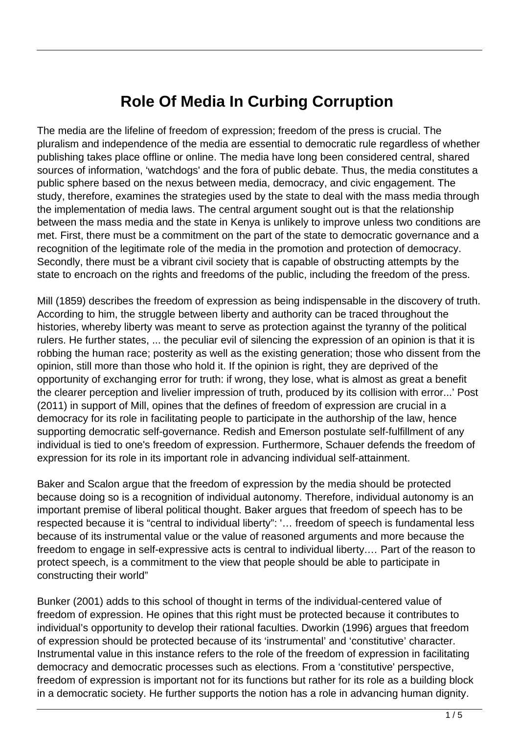# **Role Of Media In Curbing Corruption**

The media are the lifeline of freedom of expression; freedom of the press is crucial. The pluralism and independence of the media are essential to democratic rule regardless of whether publishing takes place offline or online. The media have long been considered central, shared sources of information, 'watchdogs' and the fora of public debate. Thus, the media constitutes a public sphere based on the nexus between media, democracy, and civic engagement. The study, therefore, examines the strategies used by the state to deal with the mass media through the implementation of media laws. The central argument sought out is that the relationship between the mass media and the state in Kenya is unlikely to improve unless two conditions are met. First, there must be a commitment on the part of the state to democratic governance and a recognition of the legitimate role of the media in the promotion and protection of democracy. Secondly, there must be a vibrant civil society that is capable of obstructing attempts by the state to encroach on the rights and freedoms of the public, including the freedom of the press.

Mill (1859) describes the freedom of expression as being indispensable in the discovery of truth. According to him, the struggle between liberty and authority can be traced throughout the histories, whereby liberty was meant to serve as protection against the tyranny of the political rulers. He further states, ... the peculiar evil of silencing the expression of an opinion is that it is robbing the human race; posterity as well as the existing generation; those who dissent from the opinion, still more than those who hold it. If the opinion is right, they are deprived of the opportunity of exchanging error for truth: if wrong, they lose, what is almost as great a benefit the clearer perception and livelier impression of truth, produced by its collision with error...' Post (2011) in support of Mill, opines that the defines of freedom of expression are crucial in a democracy for its role in facilitating people to participate in the authorship of the law, hence supporting democratic self-governance. Redish and Emerson postulate self-fulfillment of any individual is tied to one's freedom of expression. Furthermore, Schauer defends the freedom of expression for its role in its important role in advancing individual self-attainment.

Baker and Scalon argue that the freedom of expression by the media should be protected because doing so is a recognition of individual autonomy. Therefore, individual autonomy is an important premise of liberal political thought. Baker argues that freedom of speech has to be respected because it is "central to individual liberty": '… freedom of speech is fundamental less because of its instrumental value or the value of reasoned arguments and more because the freedom to engage in self-expressive acts is central to individual liberty.… Part of the reason to protect speech, is a commitment to the view that people should be able to participate in constructing their world"

Bunker (2001) adds to this school of thought in terms of the individual-centered value of freedom of expression. He opines that this right must be protected because it contributes to individual's opportunity to develop their rational faculties. Dworkin (1996) argues that freedom of expression should be protected because of its 'instrumental' and 'constitutive' character. Instrumental value in this instance refers to the role of the freedom of expression in facilitating democracy and democratic processes such as elections. From a 'constitutive' perspective, freedom of expression is important not for its functions but rather for its role as a building block in a democratic society. He further supports the notion has a role in advancing human dignity.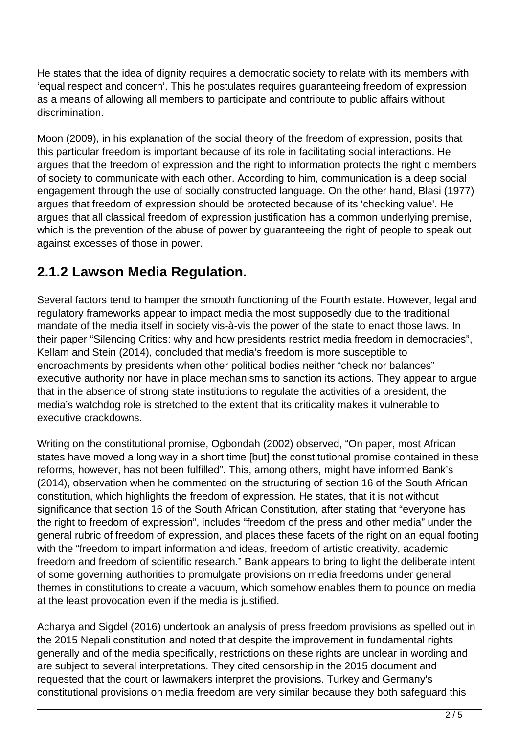He states that the idea of dignity requires a democratic society to relate with its members with 'equal respect and concern'. This he postulates requires guaranteeing freedom of expression as a means of allowing all members to participate and contribute to public affairs without discrimination.

Moon (2009), in his explanation of the social theory of the freedom of expression, posits that this particular freedom is important because of its role in facilitating social interactions. He argues that the freedom of expression and the right to information protects the right o members of society to communicate with each other. According to him, communication is a deep social engagement through the use of socially constructed language. On the other hand, Blasi (1977) argues that freedom of expression should be protected because of its 'checking value'. He argues that all classical freedom of expression justification has a common underlying premise, which is the prevention of the abuse of power by guaranteeing the right of people to speak out against excesses of those in power.

# **2.1.2 Lawson Media Regulation.**

Several factors tend to hamper the smooth functioning of the Fourth estate. However, legal and regulatory frameworks appear to impact media the most supposedly due to the traditional mandate of the media itself in society vis-à-vis the power of the state to enact those laws. In their paper "Silencing Critics: why and how presidents restrict media freedom in democracies", Kellam and Stein (2014), concluded that media's freedom is more susceptible to encroachments by presidents when other political bodies neither "check nor balances" executive authority nor have in place mechanisms to sanction its actions. They appear to argue that in the absence of strong state institutions to regulate the activities of a president, the media's watchdog role is stretched to the extent that its criticality makes it vulnerable to executive crackdowns.

Writing on the constitutional promise, Ogbondah (2002) observed, "On paper, most African states have moved a long way in a short time [but] the constitutional promise contained in these reforms, however, has not been fulfilled". This, among others, might have informed Bank's (2014), observation when he commented on the structuring of section 16 of the South African constitution, which highlights the freedom of expression. He states, that it is not without significance that section 16 of the South African Constitution, after stating that "everyone has the right to freedom of expression", includes "freedom of the press and other media" under the general rubric of freedom of expression, and places these facets of the right on an equal footing with the "freedom to impart information and ideas, freedom of artistic creativity, academic freedom and freedom of scientific research." Bank appears to bring to light the deliberate intent of some governing authorities to promulgate provisions on media freedoms under general themes in constitutions to create a vacuum, which somehow enables them to pounce on media at the least provocation even if the media is justified.

Acharya and Sigdel (2016) undertook an analysis of press freedom provisions as spelled out in the 2015 Nepali constitution and noted that despite the improvement in fundamental rights generally and of the media specifically, restrictions on these rights are unclear in wording and are subject to several interpretations. They cited censorship in the 2015 document and requested that the court or lawmakers interpret the provisions. Turkey and Germany's constitutional provisions on media freedom are very similar because they both safeguard this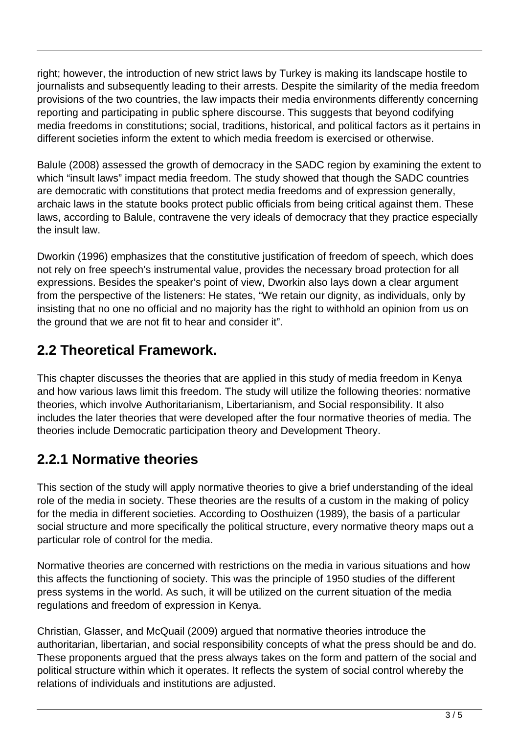right; however, the introduction of new strict laws by Turkey is making its landscape hostile to journalists and subsequently leading to their arrests. Despite the similarity of the media freedom provisions of the two countries, the law impacts their media environments differently concerning reporting and participating in public sphere discourse. This suggests that beyond codifying media freedoms in constitutions; social, traditions, historical, and political factors as it pertains in different societies inform the extent to which media freedom is exercised or otherwise.

Balule (2008) assessed the growth of democracy in the SADC region by examining the extent to which "insult laws" impact media freedom. The study showed that though the SADC countries are democratic with constitutions that protect media freedoms and of expression generally, archaic laws in the statute books protect public officials from being critical against them. These laws, according to Balule, contravene the very ideals of democracy that they practice especially the insult law.

Dworkin (1996) emphasizes that the constitutive justification of freedom of speech, which does not rely on free speech's instrumental value, provides the necessary broad protection for all expressions. Besides the speaker's point of view, Dworkin also lays down a clear argument from the perspective of the listeners: He states, "We retain our dignity, as individuals, only by insisting that no one no official and no majority has the right to withhold an opinion from us on the ground that we are not fit to hear and consider it".

# **2.2 Theoretical Framework.**

This chapter discusses the theories that are applied in this study of media freedom in Kenya and how various laws limit this freedom. The study will utilize the following theories: normative theories, which involve Authoritarianism, Libertarianism, and Social responsibility. It also includes the later theories that were developed after the four normative theories of media. The theories include Democratic participation theory and Development Theory.

### **2.2.1 Normative theories**

This section of the study will apply normative theories to give a brief understanding of the ideal role of the media in society. These theories are the results of a custom in the making of policy for the media in different societies. According to Oosthuizen (1989), the basis of a particular social structure and more specifically the political structure, every normative theory maps out a particular role of control for the media.

Normative theories are concerned with restrictions on the media in various situations and how this affects the functioning of society. This was the principle of 1950 studies of the different press systems in the world. As such, it will be utilized on the current situation of the media regulations and freedom of expression in Kenya.

Christian, Glasser, and McQuail (2009) argued that normative theories introduce the authoritarian, libertarian, and social responsibility concepts of what the press should be and do. These proponents argued that the press always takes on the form and pattern of the social and political structure within which it operates. It reflects the system of social control whereby the relations of individuals and institutions are adjusted.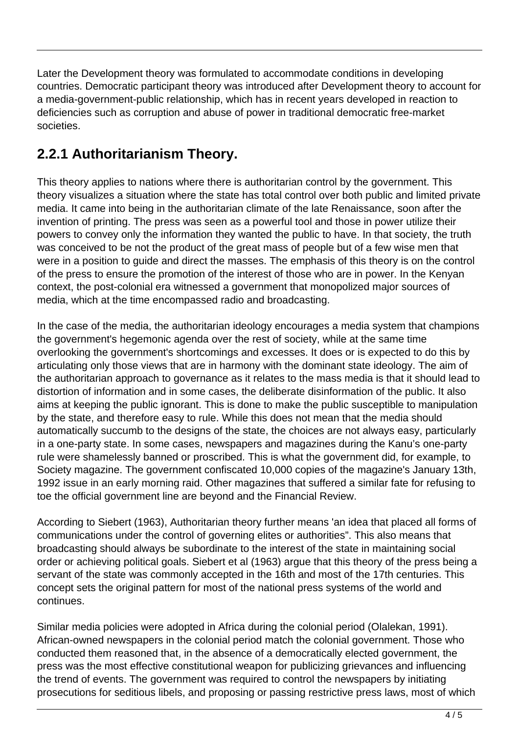Later the Development theory was formulated to accommodate conditions in developing countries. Democratic participant theory was introduced after Development theory to account for a media-government-public relationship, which has in recent years developed in reaction to deficiencies such as corruption and abuse of power in traditional democratic free-market societies.

### **2.2.1 Authoritarianism Theory.**

This theory applies to nations where there is authoritarian control by the government. This theory visualizes a situation where the state has total control over both public and limited private media. It came into being in the authoritarian climate of the late Renaissance, soon after the invention of printing. The press was seen as a powerful tool and those in power utilize their powers to convey only the information they wanted the public to have. In that society, the truth was conceived to be not the product of the great mass of people but of a few wise men that were in a position to guide and direct the masses. The emphasis of this theory is on the control of the press to ensure the promotion of the interest of those who are in power. In the Kenyan context, the post-colonial era witnessed a government that monopolized major sources of media, which at the time encompassed radio and broadcasting.

In the case of the media, the authoritarian ideology encourages a media system that champions the government's hegemonic agenda over the rest of society, while at the same time overlooking the government's shortcomings and excesses. It does or is expected to do this by articulating only those views that are in harmony with the dominant state ideology. The aim of the authoritarian approach to governance as it relates to the mass media is that it should lead to distortion of information and in some cases, the deliberate disinformation of the public. It also aims at keeping the public ignorant. This is done to make the public susceptible to manipulation by the state, and therefore easy to rule. While this does not mean that the media should automatically succumb to the designs of the state, the choices are not always easy, particularly in a one-party state. In some cases, newspapers and magazines during the Kanu's one-party rule were shamelessly banned or proscribed. This is what the government did, for example, to Society magazine. The government confiscated 10,000 copies of the magazine's January 13th, 1992 issue in an early morning raid. Other magazines that suffered a similar fate for refusing to toe the official government line are beyond and the Financial Review.

According to Siebert (1963), Authoritarian theory further means 'an idea that placed all forms of communications under the control of governing elites or authorities". This also means that broadcasting should always be subordinate to the interest of the state in maintaining social order or achieving political goals. Siebert et al (1963) argue that this theory of the press being a servant of the state was commonly accepted in the 16th and most of the 17th centuries. This concept sets the original pattern for most of the national press systems of the world and continues.

Similar media policies were adopted in Africa during the colonial period (Olalekan, 1991). African-owned newspapers in the colonial period match the colonial government. Those who conducted them reasoned that, in the absence of a democratically elected government, the press was the most effective constitutional weapon for publicizing grievances and influencing the trend of events. The government was required to control the newspapers by initiating prosecutions for seditious libels, and proposing or passing restrictive press laws, most of which